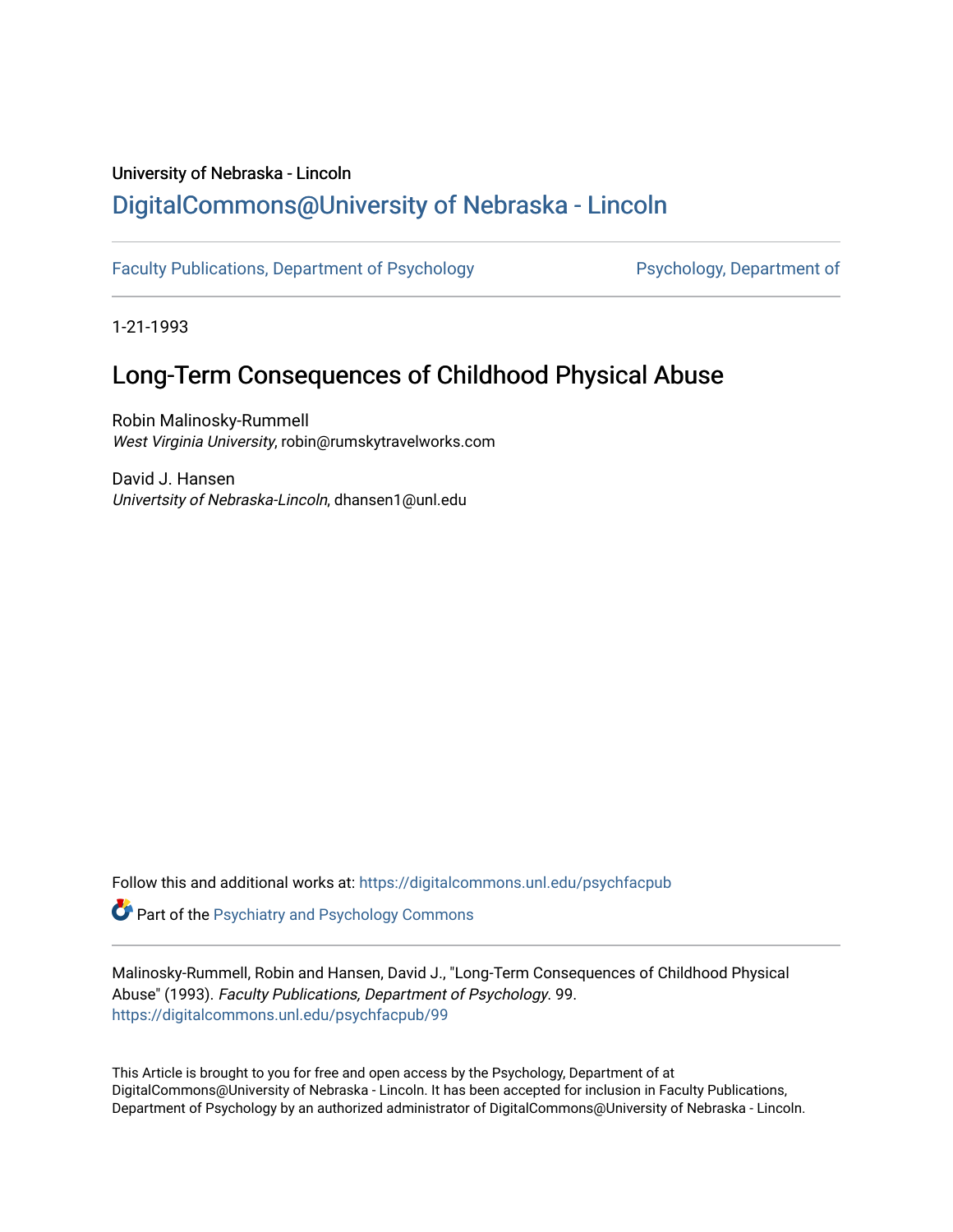# University of Nebraska - Lincoln [DigitalCommons@University of Nebraska - Lincoln](https://digitalcommons.unl.edu/)

[Faculty Publications, Department of Psychology](https://digitalcommons.unl.edu/psychfacpub) Psychology, Department of

1-21-1993

# Long-Term Consequences of Childhood Physical Abuse

Robin Malinosky-Rummell West Virginia University, robin@rumskytravelworks.com

David J. Hansen Univertsity of Nebraska-Lincoln, dhansen1@unl.edu

Follow this and additional works at: [https://digitalcommons.unl.edu/psychfacpub](https://digitalcommons.unl.edu/psychfacpub?utm_source=digitalcommons.unl.edu%2Fpsychfacpub%2F99&utm_medium=PDF&utm_campaign=PDFCoverPages) 

**Part of the Psychiatry and Psychology Commons** 

Malinosky-Rummell, Robin and Hansen, David J., "Long-Term Consequences of Childhood Physical Abuse" (1993). Faculty Publications, Department of Psychology. 99. [https://digitalcommons.unl.edu/psychfacpub/99](https://digitalcommons.unl.edu/psychfacpub/99?utm_source=digitalcommons.unl.edu%2Fpsychfacpub%2F99&utm_medium=PDF&utm_campaign=PDFCoverPages)

This Article is brought to you for free and open access by the Psychology, Department of at DigitalCommons@University of Nebraska - Lincoln. It has been accepted for inclusion in Faculty Publications, Department of Psychology by an authorized administrator of DigitalCommons@University of Nebraska - Lincoln.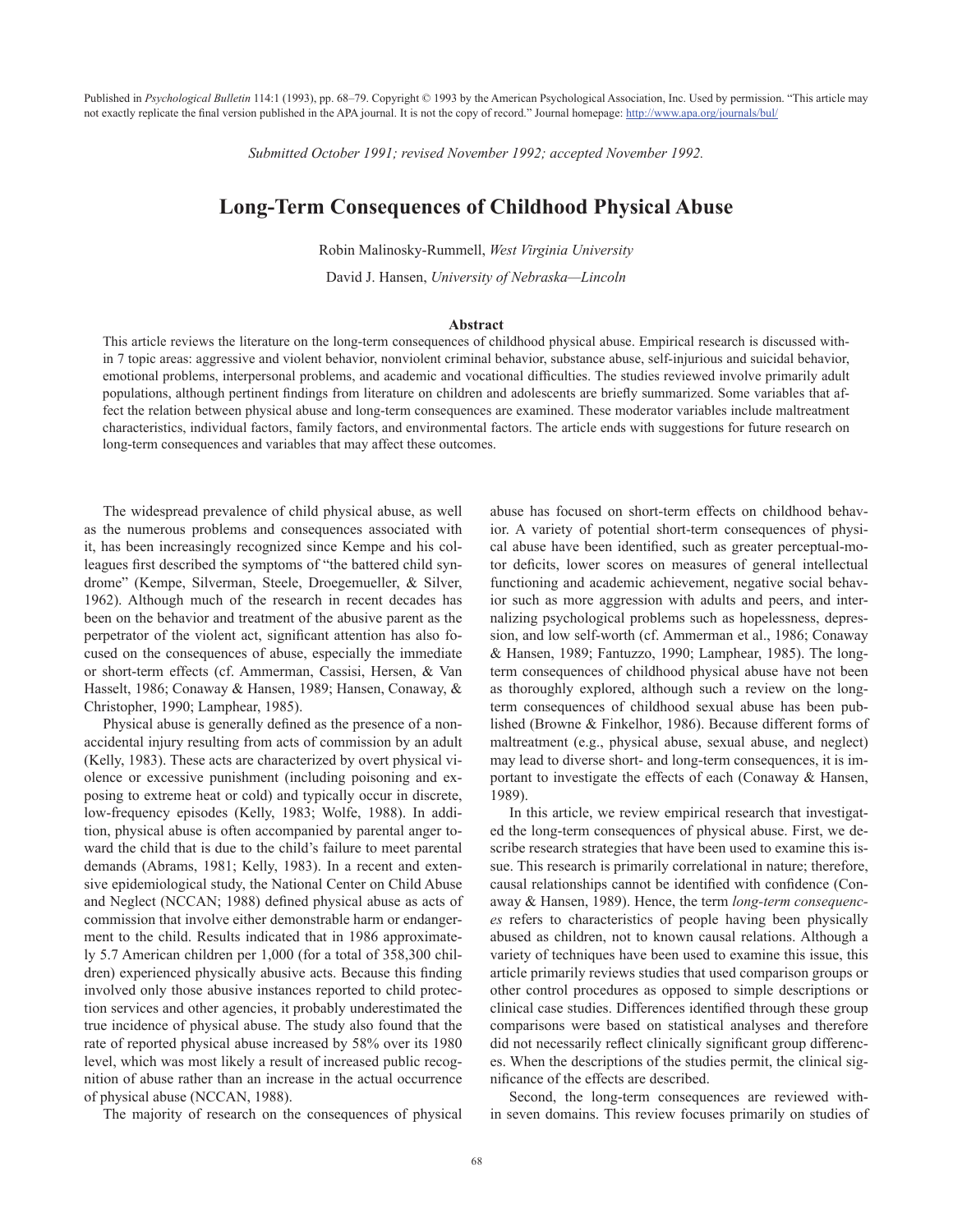Published in *Psychological Bulletin* 114:1 (1993), pp. 68–79. Copyright © 1993 by the American Psychological Association, Inc. Used by permission. "This article may not exactly replicate the final version published in the APA journal. It is not the copy of record." Journal homepage: http://www.apa.org/journals/bul/

*Submitted October 1991; revised November 1992; accepted November 1992.*

# **Long-Term Consequences of Childhood Physical Abuse**

Robin Malinosky-Rummell, *West Virginia University* 

David J. Hansen, *University of Nebraska—Lincoln* 

### **Abstract**

This article reviews the literature on the long-term consequences of childhood physical abuse. Empirical research is discussed within 7 topic areas: aggressive and violent behavior, nonviolent criminal behavior, substance abuse, self-injurious and suicidal behavior, emotional problems, interpersonal problems, and academic and vocational difficulties. The studies reviewed involve primarily adult populations, although pertinent findings from literature on children and adolescents are briefly summarized. Some variables that affect the relation between physical abuse and long-term consequences are examined. These moderator variables include maltreatment characteristics, individual factors, family factors, and environmental factors. The article ends with suggestions for future research on long-term consequences and variables that may affect these outcomes.

The widespread prevalence of child physical abuse, as well as the numerous problems and consequences associated with it, has been increasingly recognized since Kempe and his colleagues first described the symptoms of "the battered child syndrome" (Kempe, Silverman, Steele, Droegemueller, & Silver, 1962). Although much of the research in recent decades has been on the behavior and treatment of the abusive parent as the perpetrator of the violent act, significant attention has also focused on the consequences of abuse, especially the immediate or short-term effects (cf. Ammerman, Cassisi, Hersen, & Van Hasselt, 1986; Conaway & Hansen, 1989; Hansen, Conaway, & Christopher, 1990; Lamphear, 1985).

Physical abuse is generally defined as the presence of a nonaccidental injury resulting from acts of commission by an adult (Kelly, 1983). These acts are characterized by overt physical violence or excessive punishment (including poisoning and exposing to extreme heat or cold) and typically occur in discrete, low-frequency episodes (Kelly, 1983; Wolfe, 1988). In addition, physical abuse is often accompanied by parental anger toward the child that is due to the child's failure to meet parental demands (Abrams, 1981; Kelly, 1983). In a recent and extensive epidemiological study, the National Center on Child Abuse and Neglect (NCCAN; 1988) defined physical abuse as acts of commission that involve either demonstrable harm or endangerment to the child. Results indicated that in 1986 approximately 5.7 American children per 1,000 (for a total of 358,300 children) experienced physically abusive acts. Because this finding involved only those abusive instances reported to child protection services and other agencies, it probably underestimated the true incidence of physical abuse. The study also found that the rate of reported physical abuse increased by 58% over its 1980 level, which was most likely a result of increased public recognition of abuse rather than an increase in the actual occurrence of physical abuse (NCCAN, 1988).

The majority of research on the consequences of physical

abuse has focused on short-term effects on childhood behavior. A variety of potential short-term consequences of physical abuse have been identified, such as greater perceptual-motor deficits, lower scores on measures of general intellectual functioning and academic achievement, negative social behavior such as more aggression with adults and peers, and internalizing psychological problems such as hopelessness, depression, and low self-worth (cf. Ammerman et al., 1986; Conaway & Hansen, 1989; Fantuzzo, 1990; Lamphear, 1985). The longterm consequences of childhood physical abuse have not been as thoroughly explored, although such a review on the longterm consequences of childhood sexual abuse has been published (Browne & Finkelhor, 1986). Because different forms of maltreatment (e.g., physical abuse, sexual abuse, and neglect) may lead to diverse short- and long-term consequences, it is important to investigate the effects of each (Conaway & Hansen, 1989).

In this article, we review empirical research that investigated the long-term consequences of physical abuse. First, we describe research strategies that have been used to examine this issue. This research is primarily correlational in nature; therefore, causal relationships cannot be identified with confidence (Conaway & Hansen, 1989). Hence, the term *long-term consequences* refers to characteristics of people having been physically abused as children, not to known causal relations. Although a variety of techniques have been used to examine this issue, this article primarily reviews studies that used comparison groups or other control procedures as opposed to simple descriptions or clinical case studies. Differences identified through these group comparisons were based on statistical analyses and therefore did not necessarily reflect clinically significant group differences. When the descriptions of the studies permit, the clinical significance of the effects are described.

Second, the long-term consequences are reviewed within seven domains. This review focuses primarily on studies of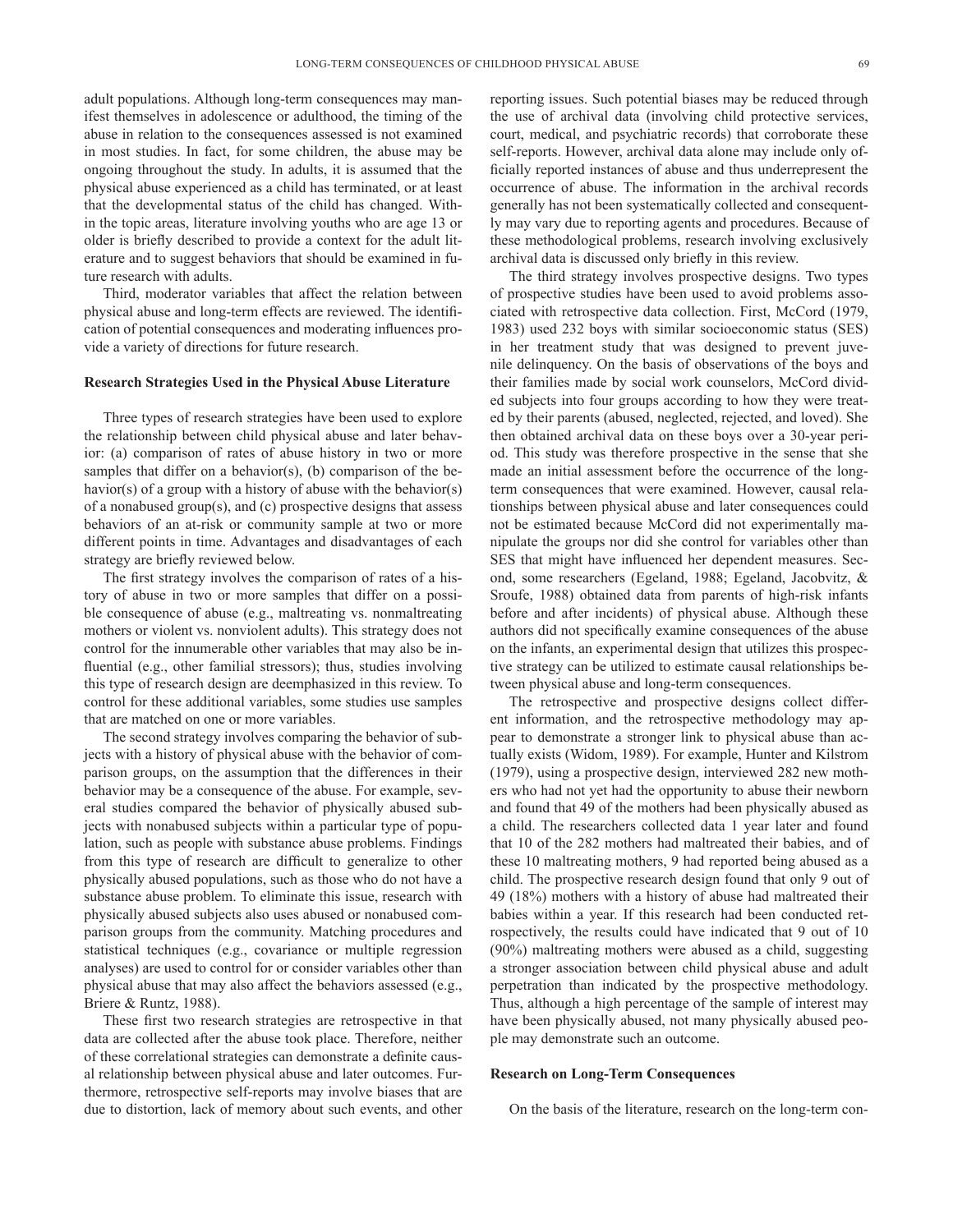adult populations. Although long-term consequences may manifest themselves in adolescence or adulthood, the timing of the abuse in relation to the consequences assessed is not examined in most studies. In fact, for some children, the abuse may be ongoing throughout the study. In adults, it is assumed that the physical abuse experienced as a child has terminated, or at least that the developmental status of the child has changed. Within the topic areas, literature involving youths who are age 13 or older is briefly described to provide a context for the adult literature and to suggest behaviors that should be examined in future research with adults.

Third, moderator variables that affect the relation between physical abuse and long-term effects are reviewed. The identification of potential consequences and moderating influences provide a variety of directions for future research.

# **Research Strategies Used in the Physical Abuse Literature**

Three types of research strategies have been used to explore the relationship between child physical abuse and later behavior: (a) comparison of rates of abuse history in two or more samples that differ on a behavior(s), (b) comparison of the behavior(s) of a group with a history of abuse with the behavior(s) of a nonabused group(s), and (c) prospective designs that assess behaviors of an at-risk or community sample at two or more different points in time. Advantages and disadvantages of each strategy are briefly reviewed below.

The first strategy involves the comparison of rates of a history of abuse in two or more samples that differ on a possible consequence of abuse (e.g., maltreating vs. nonmaltreating mothers or violent vs. nonviolent adults). This strategy does not control for the innumerable other variables that may also be influential (e.g., other familial stressors); thus, studies involving this type of research design are deemphasized in this review. To control for these additional variables, some studies use samples that are matched on one or more variables.

The second strategy involves comparing the behavior of subjects with a history of physical abuse with the behavior of comparison groups, on the assumption that the differences in their behavior may be a consequence of the abuse. For example, several studies compared the behavior of physically abused subjects with nonabused subjects within a particular type of population, such as people with substance abuse problems. Findings from this type of research are difficult to generalize to other physically abused populations, such as those who do not have a substance abuse problem. To eliminate this issue, research with physically abused subjects also uses abused or nonabused comparison groups from the community. Matching procedures and statistical techniques (e.g., covariance or multiple regression analyses) are used to control for or consider variables other than physical abuse that may also affect the behaviors assessed (e.g., Briere & Runtz, 1988).

These first two research strategies are retrospective in that data are collected after the abuse took place. Therefore, neither of these correlational strategies can demonstrate a definite causal relationship between physical abuse and later outcomes. Furthermore, retrospective self-reports may involve biases that are due to distortion, lack of memory about such events, and other reporting issues. Such potential biases may be reduced through the use of archival data (involving child protective services, court, medical, and psychiatric records) that corroborate these self-reports. However, archival data alone may include only officially reported instances of abuse and thus underrepresent the occurrence of abuse. The information in the archival records generally has not been systematically collected and consequently may vary due to reporting agents and procedures. Because of these methodological problems, research involving exclusively archival data is discussed only briefly in this review.

The third strategy involves prospective designs. Two types of prospective studies have been used to avoid problems associated with retrospective data collection. First, McCord (1979, 1983) used 232 boys with similar socioeconomic status (SES) in her treatment study that was designed to prevent juvenile delinquency. On the basis of observations of the boys and their families made by social work counselors, McCord divided subjects into four groups according to how they were treated by their parents (abused, neglected, rejected, and loved). She then obtained archival data on these boys over a 30-year period. This study was therefore prospective in the sense that she made an initial assessment before the occurrence of the longterm consequences that were examined. However, causal relationships between physical abuse and later consequences could not be estimated because McCord did not experimentally manipulate the groups nor did she control for variables other than SES that might have influenced her dependent measures. Second, some researchers (Egeland, 1988; Egeland, Jacobvitz, & Sroufe, 1988) obtained data from parents of high-risk infants before and after incidents) of physical abuse. Although these authors did not specifically examine consequences of the abuse on the infants, an experimental design that utilizes this prospective strategy can be utilized to estimate causal relationships between physical abuse and long-term consequences.

The retrospective and prospective designs collect different information, and the retrospective methodology may appear to demonstrate a stronger link to physical abuse than actually exists (Widom, 1989). For example, Hunter and Kilstrom (1979), using a prospective design, interviewed 282 new mothers who had not yet had the opportunity to abuse their newborn and found that 49 of the mothers had been physically abused as a child. The researchers collected data 1 year later and found that 10 of the 282 mothers had maltreated their babies, and of these 10 maltreating mothers, 9 had reported being abused as a child. The prospective research design found that only 9 out of 49 (18%) mothers with a history of abuse had maltreated their babies within a year. If this research had been conducted retrospectively, the results could have indicated that 9 out of 10 (90%) maltreating mothers were abused as a child, suggesting a stronger association between child physical abuse and adult perpetration than indicated by the prospective methodology. Thus, although a high percentage of the sample of interest may have been physically abused, not many physically abused people may demonstrate such an outcome.

# **Research on Long-Term Consequences**

On the basis of the literature, research on the long-term con-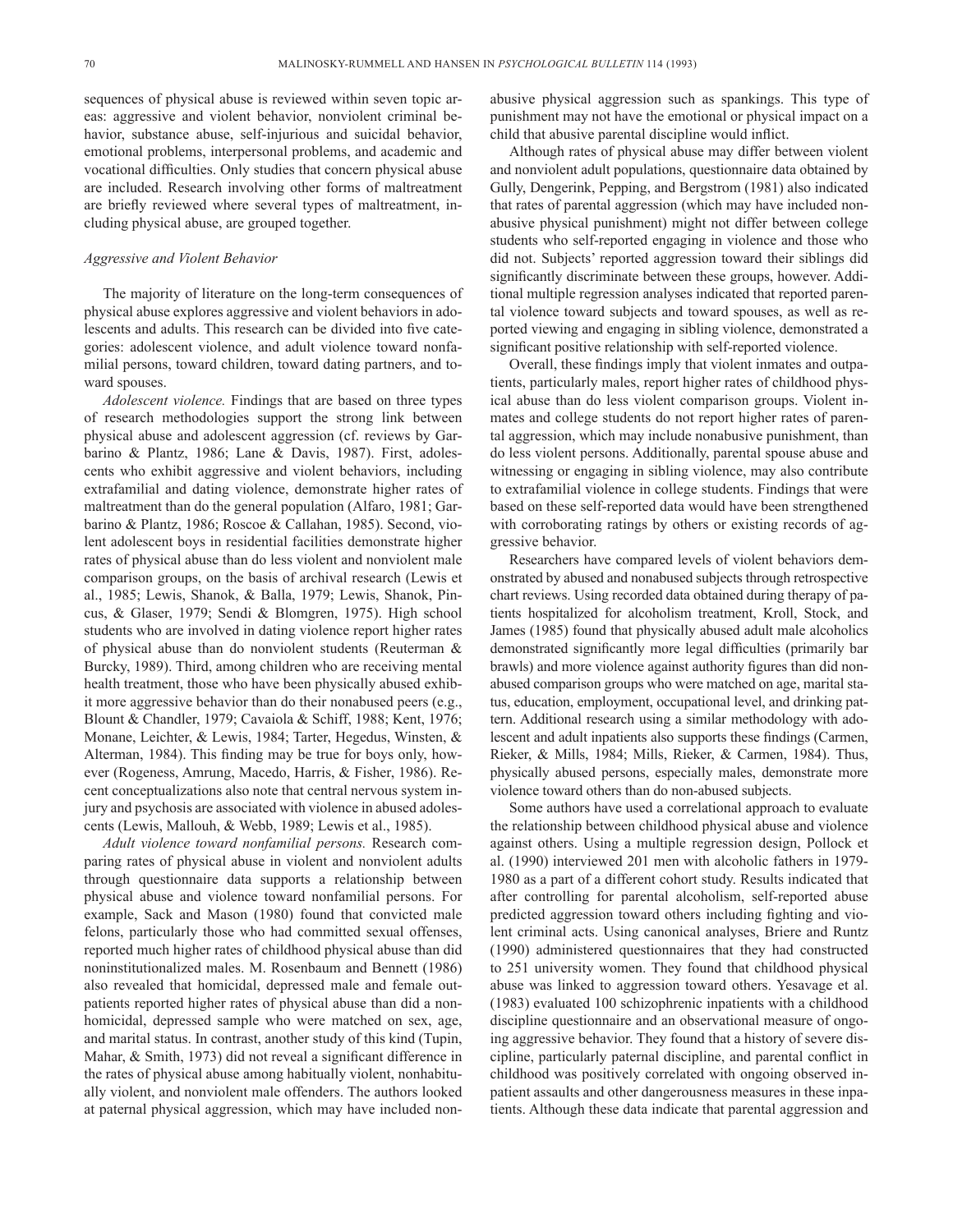sequences of physical abuse is reviewed within seven topic areas: aggressive and violent behavior, nonviolent criminal behavior, substance abuse, self-injurious and suicidal behavior, emotional problems, interpersonal problems, and academic and vocational difficulties. Only studies that concern physical abuse are included. Research involving other forms of maltreatment are briefly reviewed where several types of maltreatment, including physical abuse, are grouped together.

# *Aggressive and Violent Behavior*

The majority of literature on the long-term consequences of physical abuse explores aggressive and violent behaviors in adolescents and adults. This research can be divided into five categories: adolescent violence, and adult violence toward nonfamilial persons, toward children, toward dating partners, and toward spouses.

*Adolescent violence.* Findings that are based on three types of research methodologies support the strong link between physical abuse and adolescent aggression (cf. reviews by Garbarino & Plantz, 1986; Lane & Davis, 1987). First, adolescents who exhibit aggressive and violent behaviors, including extrafamilial and dating violence, demonstrate higher rates of mal treatment than do the general population (Alfaro, 1981; Garbarino & Plantz, 1986; Roscoe & Callahan, 1985). Second, violent adolescent boys in residential facilities demonstrate higher rates of physical abuse than do less violent and nonviolent male comparison groups, on the basis of archival research (Lewis et al., 1985; Lewis, Shanok, & Balla, 1979; Lewis, Shanok, Pincus, & Glaser, 1979; Sendi & Blomgren, 1975). High school students who are involved in dating violence report higher rates of physical abuse than do nonviolent students (Reuterman  $\&$ Burcky, 1989). Third, among children who are receiving mental health treatment, those who have been physically abused exhibit more aggressive behavior than do their nonabused peers (e.g., Blount & Chandler, 1979; Cavaiola & Schiff, 1988; Kent, 1976; Monane, Leichter, & Lewis, 1984; Tarter, Hegedus, Winsten, & Alterman, 1984). This finding may be true for boys only, however (Rogeness, Amrung, Macedo, Harris, & Fisher, 1986). Recent conceptualizations also note that central nervous system injury and psychosis are associated with violence in abused adolescents (Lewis, Mallouh, & Webb, 1989; Lewis et al., 1985).

*Adult violence toward nonfamilial persons.* Research comparing rates of physical abuse in violent and nonviolent adults through questionnaire data supports a relationship between physical abuse and violence toward nonfamilial persons. For example, Sack and Mason (1980) found that convicted male felons, particularly those who had committed sexual offenses, reported much higher rates of childhood physical abuse than did noninstitutionalized males. M. Rosenbaum and Bennett (1986) also revealed that homicidal, depressed male and female outpatients reported higher rates of physical abuse than did a nonhomicidal, depressed sample who were matched on sex, age, and marital status. In contrast, another study of this kind (Tupin, Mahar,  $&$  Smith, 1973) did not reveal a significant difference in the rates of physical abuse among habitually violent, nonhabitually violent, and nonviolent male offenders. The authors looked at paternal physical aggression, which may have included nonabusive physical aggression such as spankings. This type of punishment may not have the emotional or physical impact on a child that abusive parental discipline would inflict.

Although rates of physical abuse may differ between violent and nonviolent adult populations, questionnaire data obtained by Gully, Dengerink, Pepping, and Bergstrom (1981) also indicated that rates of parental aggression (which may have included nonabusive physical punishment) might not differ between college students who self-reported engaging in violence and those who did not. Subjects' reported aggression toward their siblings did significantly discriminate between these groups, however. Additional multiple regression analyses indicated that reported parental violence toward subjects and to ward spouses, as well as reported viewing and engaging in sibling violence, demonstrated a significant positive relationship with self-reported violence.

Overall, these findings imply that violent inmates and outpatients, particularly males, report higher rates of childhood physical abuse than do less violent comparison groups. Violent inmates and college students do not report higher rates of parental aggression, which may include nonabusive punishment, than do less violent persons. Additionally, parental spouse abuse and witnessing or engaging in sibling violence, may also contribute to extrafamilial violence in college students. Findings that were based on these self-reported data would have been strengthened with corroborating ratings by others or existing records of aggressive behavior.

Researchers have compared levels of violent behaviors demonstrated by abused and nonabused subjects through retrospective chart reviews. Using recorded data obtained during therapy of patients hospitalized for alcoholism treatment, Kroll, Stock, and James (1985) found that physically abused adult male alcoholics demonstrated significantly more legal difficulties (primarily bar brawls) and more violence against authority figures than did nonabused comparison groups who were matched on age, marital status, education, employment, occupational level, and drinking pattern. Additional research using a similar methodology with adolescent and adult inpatients also supports these findings (Carmen, Rieker, & Mills, 1984; Mills, Rieker, & Carmen, 1984). Thus, physically abused persons, especially males, demonstrate more violence toward others than do non-abused subjects.

Some authors have used a correlational approach to evaluate the relationship between childhood physical abuse and violence against others. Using a multiple regression design, Pollock et al. (1990) interviewed 201 men with alcoholic fathers in 1979- 1980 as a part of a different cohort study. Results indicated that after controlling for parental alcoholism, self-reported abuse predicted aggression toward others including fighting and violent criminal acts. Using canonical analyses, Briere and Runtz (1990) administered questionnaires that they had constructed to 251 university women. They found that childhood physical abuse was linked to aggression toward others. Yesavage et al.  $(1983)$  evaluated 100 schizophrenic inpatients with a childhood discipline questionnaire and an observational measure of ongoing aggressive behavior. They found that a history of severe discipline, particularly paternal discipline, and parental conflict in childhood was positively correlated with ongoing observed inpatient assaults and other dangerousness measures in these inpatients. Although these data indicate that parental aggression and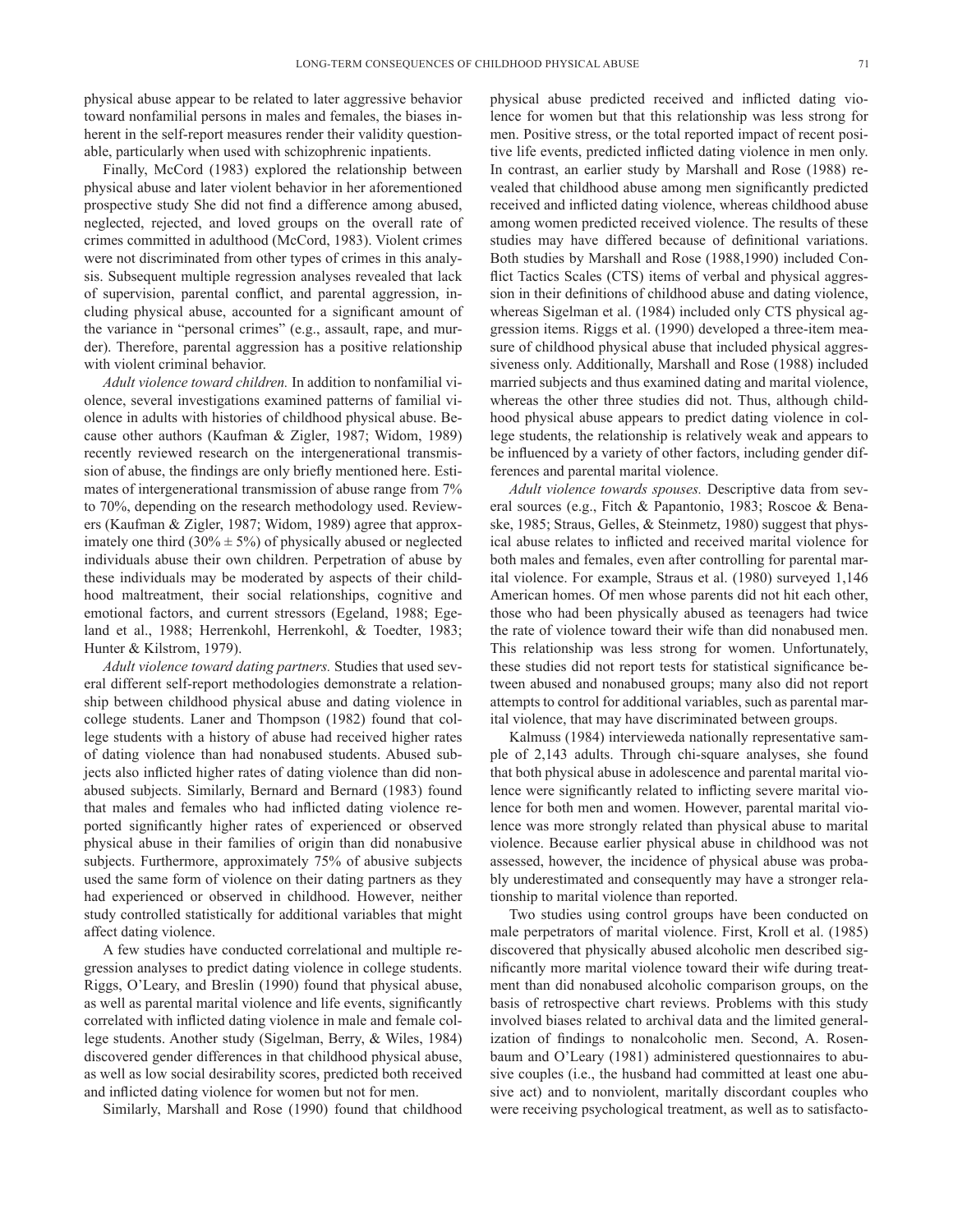physical abuse appear to be related to later aggressive behavior toward nonfamilial persons in males and females, the biases inherent in the self-report measures render their validity questionable, particularly when used with schizophrenic inpatients.

Finally, McCord (1983) explored the relationship between physical abuse and later violent behavior in her aforementioned prospective study She did not find a difference among abused, neglected, rejected, and loved groups on the overall rate of crimes committed in adulthood (McCord, 1983). Violent crimes were not discriminated from other types of crimes in this analysis. Subsequent multiple regression analyses revealed that lack of supervision, parental conflict, and parental aggression, including physical abuse, accounted for a significant amount of the variance in "personal crimes" (e.g., assault, rape, and murder). Therefore, parental aggression has a positive relationship with violent criminal behavior.

*Adult violence toward children.* In addition to nonfamilial violence, several investigations examined patterns of familial violence in adults with histories of childhood physical abuse. Because other authors (Kaufman & Zigler, 1987; Widom, 1989) recently reviewed research on the intergenerational transmission of abuse, the findings are only briefly mentioned here. Estimates of intergenerational transmission of abuse range from 7% to 70%, depending on the research methodology used. Reviewers (Kaufman & Zigler, 1987; Widom, 1989) agree that approximately one third  $(30\% \pm 5\%)$  of physically abused or neglected individuals abuse their own children. Perpetration of abuse by these individuals may be moderated by aspects of their childhood maltreatment, their social relationships, cognitive and emotional factors, and current stressors (Egeland, 1988; Egeland et al., 1988; Herrenkohl, Herrenkohl, & Toedter, 1983; Hunter & Kilstrom, 1979).

*Adult violence toward dating partners.* Studies that used several different self-report methodologies demonstrate a relationship between childhood physical abuse and dating violence in college students. Laner and Thompson (1982) found that college students with a history of abuse had received higher rates of dating violence than had nonabused students. Abused subjects also inflicted higher rates of dating violence than did nonabused subjects. Similarly, Bernard and Bernard (1983) found that males and females who had inflicted dating violence reported significantly higher rates of experienced or observed physical abuse in their families of origin than did nonabusive subjects. Furthermore, approximately 75% of abusive subjects used the same form of violence on their dating partners as they had experienced or observed in childhood. However, neither study controlled statistically for additional variables that might affect dating violence.

A few studies have conducted correlational and multiple regression analyses to predict dating violence in college students. Riggs, O'Leary, and Breslin (1990) found that physical abuse, as well as parental marital violence and life events, significantly correlated with inflicted dating violence in male and female college students. Another study (Sigelman, Berry, & Wiles, 1984) discovered gender differences in that childhood physical abuse, as well as low social desirability scores, predicted both received and inflicted dating violence for women but not for men.

Similarly, Marshall and Rose (1990) found that childhood

physical abuse predicted received and inflicted dating violence for women but that this relationship was less strong for men. Positive stress, or the total reported impact of recent positive life events, predicted inflicted dating violence in men only. In contrast, an earlier study by Marshall and Rose (1988) revealed that childhood abuse among men significantly predicted received and inflicted dating violence, whereas childhood abuse among women predicted received violence. The results of these studies may have differed because of definitional variations. Both studies by Marshall and Rose (1988,1990) included Conflict Tactics Scales (CTS) items of verbal and physical aggression in their definitions of childhood abuse and dating violence, whereas Sigelman et al. (1984) included only CTS physical aggression items. Riggs et al. (1990) developed a three-item measure of childhood physical abuse that included physical aggressiveness only. Additionally, Marshall and Rose (1988) included married subjects and thus examined dating and marital violence, whereas the other three studies did not. Thus, although childhood physical abuse appears to predict dating violence in college students, the relationship is relatively weak and appears to be influenced by a variety of other factors, including gender differences and parental marital violence.

*Adult violence towards spouses.* Descriptive data from several sources (e.g., Fitch & Papantonio, 1983; Roscoe & Benaske, 1985; Straus, Gelles, & Steinmetz, 1980) suggest that physical abuse relates to inflicted and received marital violence for both males and females, even after controlling for parental marital violence. For example, Straus et al. (1980) surveyed 1,146 American homes. Of men whose parents did not hit each other, those who had been physically abused as teenagers had twice the rate of violence toward their wife than did nonabused men. This relationship was less strong for women. Unfortunately, these studies did not report tests for statistical significance between abused and nonabused groups; many also did not report attempts to control for additional variables, such as parental marital violence, that may have discriminated between groups.

Kalmuss (1984) intervieweda nationally representative sample of 2,143 adults. Through chi-square analyses, she found that both physical abuse in adolescence and parental marital violence were significantly related to inflicting severe marital violence for both men and women. However, parental marital violence was more strongly related than physical abuse to marital violence. Because earlier physical abuse in childhood was not assessed, however, the incidence of physical abuse was probably underestimated and consequently may have a stronger relationship to marital violence than reported.

Two studies using control groups have been conducted on male perpetrators of marital violence. First, Kroll et al. (1985) discovered that physically abused alcoholic men described significantly more marital violence toward their wife during treatment than did nonabused alcoholic comparison groups, on the basis of retrospective chart reviews. Problems with this study involved biases related to archival data and the limited generalization of findings to nonalcoholic men. Second, A. Rosenbaum and O'Leary (1981) administered questionnaires to abusive couples (i.e., the husband had committed at least one abusive act) and to nonviolent, maritally discordant couples who were receiving psychological treatment, as well as to satisfacto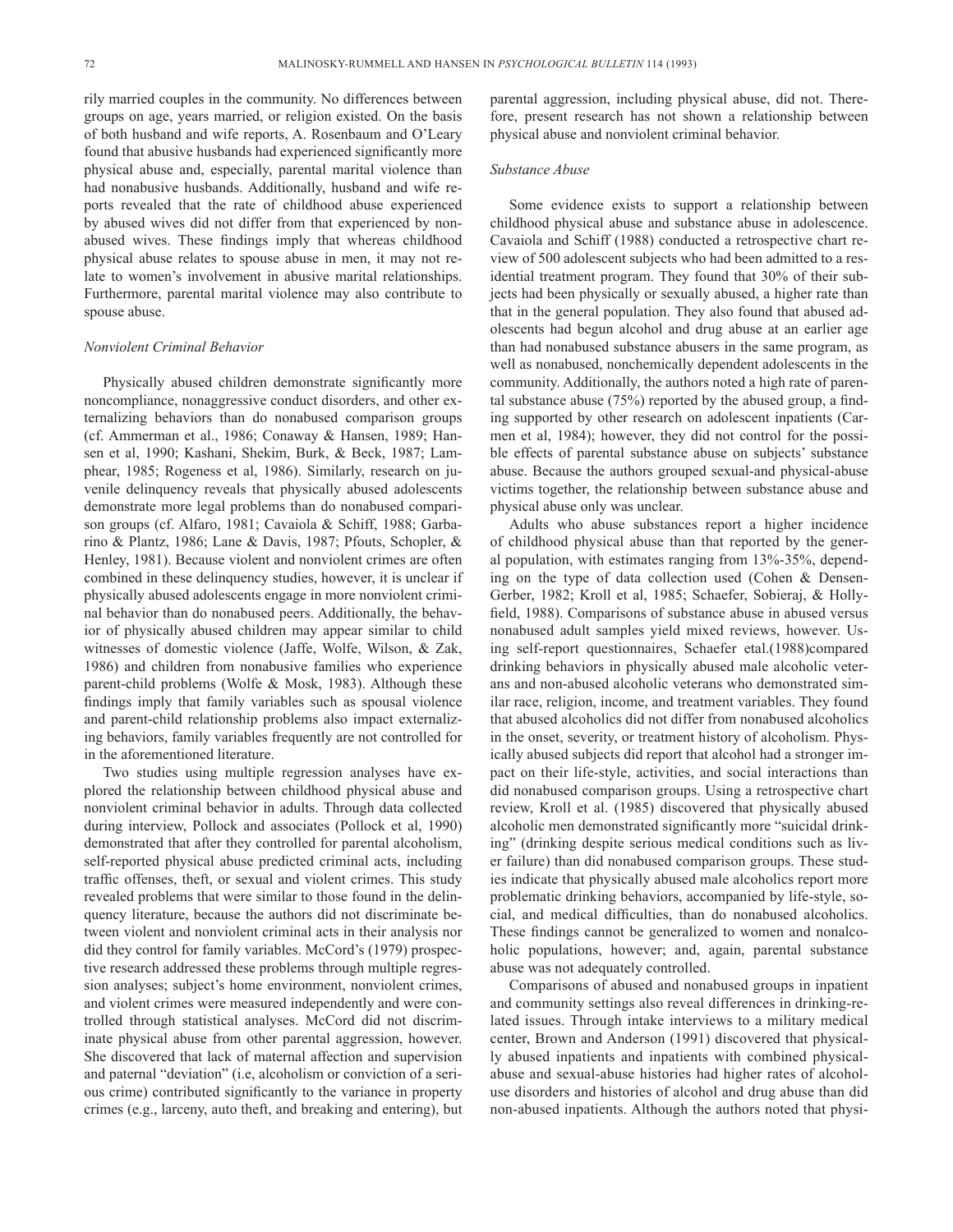rily married couples in the community. No differences between groups on age, years married, or religion existed. On the basis of both husband and wife reports, A. Rosenbaum and O'Leary found that abusive husbands had experienced significantly more physical abuse and, especially, parental marital violence than had nonabusive husbands. Additionally, husband and wife reports revealed that the rate of childhood abuse experienced by abused wives did not differ from that experienced by nonabused wives. These findings imply that whereas childhood physical abuse relates to spouse abuse in men, it may not relate to women's involvement in abusive marital relationships. Furthermore, parental marital violence may also contribute to spouse abuse.

#### *Nonviolent Criminal Behavior*

Physically abused children demonstrate significantly more noncompliance, nonaggressive conduct disorders, and other externalizing behaviors than do nonabused comparison groups (cf. Ammerman et al., 1986; Conaway & Hansen, 1989; Hansen et al, 1990; Kashani, Shekim, Burk, & Beck, 1987; Lamphear, 1985; Rogeness et al, 1986). Similarly, research on juvenile delinquency reveals that physically abused adolescents demonstrate more legal problems than do nonabused comparison groups (cf. Alfaro, 1981; Cavaiola & Schiff, 1988; Garbarino & Plantz, 1986; Lane & Davis, 1987; Pfouts, Schopler, & Henley, 1981). Because violent and nonviolent crimes are often com bined in these delinquency studies, however, it is unclear if physically abused adolescents engage in more nonviolent criminal behavior than do nonabused peers. Additionally, the behavior of physically abused children may appear similar to child witnesses of domestic violence (Jaffe, Wolfe, Wilson, & Zak, 1986) and children from nonabusive families who experience parent-child problems (Wolfe & Mosk, 1983). Although these findings imply that family variables such as spousal violence and parent-child relationship problems also impact externalizing behaviors, family variables frequently are not controlled for in the aforementioned literature.

Two studies using multiple regression analyses have explored the relationship between childhood physical abuse and nonviolent criminal behavior in adults. Through data collected during interview, Pollock and associates (Pollock et al, 1990) demonstrated that after they controlled for parental alcoholism, self-reported physical abuse predicted criminal acts, including traffic offenses, theft, or sexual and violent crimes. This study re vealed problems that were similar to those found in the delinquency literature, because the authors did not discriminate between violent and nonviolent criminal acts in their analysis nor did they control for family variables. McCord's (1979) prospective research addressed these problems through multiple regression analyses; subject's home environment, nonviolent crimes, and violent crimes were measured independently and were controlled through statistical analyses. McCord did not discriminate physical abuse from other parental aggression, however. She discovered that lack of maternal affection and supervision and paternal "deviation" (i.e, alcoholism or conviction of a serious crime) contributed significantly to the variance in property crimes (e.g., larceny, auto theft, and break ing and entering), but parental aggression, including physical abuse, did not. Therefore, present research has not shown a relationship between physical abuse and nonviolent criminal behavior.

#### *Substance Abuse*

Some evidence exists to support a relationship between childhood physical abuse and substance abuse in adolescence. Cavaiola and Schiff (1988) conducted a retrospective chart review of 500 adolescent subjects who had been admitted to a residential treatment program. They found that 30% of their subjects had been physically or sexually abused, a higher rate than that in the general population. They also found that abused adolescents had begun alcohol and drug abuse at an earlier age than had nonabused substance abusers in the same program, as well as nonabused, nonchemically dependent adolescents in the community. Additionally, the authors noted a high rate of parental substance abuse  $(75%)$  reported by the abused group, a finding supported by other research on adolescent inpatients (Carmen et al, 1984); however, they did not control for the possible effects of parental substance abuse on subjects' substance abuse. Because the authors grouped sexual-and physical-abuse victims together, the relationship between substance abuse and physical abuse only was unclear.

Adults who abuse substances report a higher incidence of childhood physical abuse than that reported by the general population, with estimates ranging from 13%-35%, depending on the type of data collection used (Cohen & Densen-Gerber, 1982; Kroll et al, 1985; Schaefer, Sobieraj, & Hollyfield, 1988). Comparisons of substance abuse in abused versus nonabused adult samples yield mixed reviews, however. Using self-report questionnaires, Schaefer etal.(1988)compared drinking behaviors in physically abused male alcoholic veterans and non-abused alcoholic veterans who demonstrated similar race, religion, income, and treatment variables. They found that abused alcoholics did not differ from nonabused alcoholics in the onset, severity, or treatment history of alcoholism. Physically abused subjects did report that alcohol had a stronger impact on their life-style, activities, and social interactions than did nonabused comparison groups. Using a retrospective chart re view, Kroll et al. (1985) discovered that physically abused alcoholic men demonstrated significantly more "suicidal drinking" (drinking despite serious medical conditions such as liver failure) than did nonabused comparison groups. These studies indicate that physically abused male alcoholics report more problematic drinking behaviors, accompanied by life-style, social, and medical difficulties, than do nonabused alcoholics. These findings cannot be generalized to women and nonalcoholic populations, however; and, again, parental substance abuse was not adequately controlled.

Comparisons of abused and nonabused groups in inpatient and community settings also reveal differences in drinking-related issues. Through intake interviews to a military medical center, Brown and Anderson (1991) discovered that physically abused inpatients and inpatients with combined physicalabuse and sexual-abuse histories had higher rates of alcoholuse dis orders and histories of alcohol and drug abuse than did non-abused inpatients. Although the authors noted that physi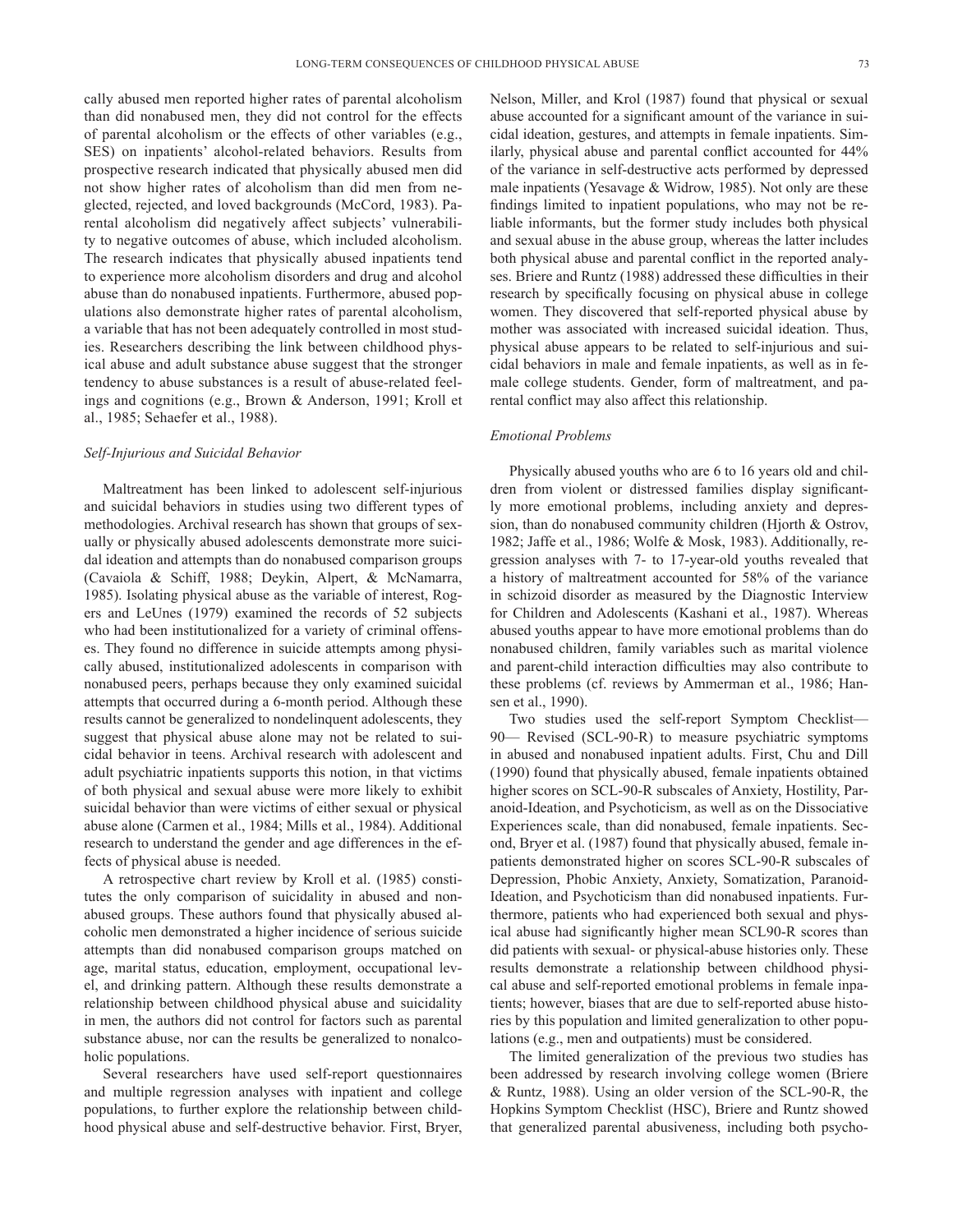cally abused men reported higher rates of parental alcoholism than did nonabused men, they did not control for the effects of parental alcoholism or the effects of other variables (e.g., SES) on inpatients' alcohol-related behaviors. Results from prospective research indicated that physically abused men did not show higher rates of alcoholism than did men from neglected, rejected, and loved backgrounds (McCord, 1983). Parental alcoholism did negatively affect subjects' vulnerability to negative outcomes of abuse, which included alcoholism. The research indicates that physically abused inpatients tend to experience more alcoholism disorders and drug and alcohol abuse than do nonabused inpatients. Furthermore, abused populations also demonstrate higher rates of parental alcoholism, a variable that has not been adequately controlled in most studies. Researchers describing the link between childhood physical abuse and adult substance abuse suggest that the stronger tendency to abuse substances is a result of abuse-related feelings and cognitions (e.g., Brown & Anderson, 1991; Kroll et al., 1985; Sehaefer et al., 1988).

#### *Self-Injurious and Suicidal Behavior*

Maltreatment has been linked to adolescent self-injurious and suicidal behaviors in studies using two different types of methodologies. Archival research has shown that groups of sexually or physically abused adolescents demonstrate more suicidal ideation and attempts than do nonabused comparison groups (Cavaiola & Schiff, 1988; Deykin, Alpert, & McNamarra, 1985). Isolating physical abuse as the variable of interest, Rogers and LeUnes (1979) examined the records of 52 subjects who had been institutionalized for a variety of criminal offenses. They found no difference in suicide attempts among physically abused, institutionalized adolescents in comparison with nonabused peers, perhaps because they only examined suicidal attempts that occurred during a 6-month period. Although these results cannot be generalized to nondelinquent adolescents, they suggest that physical abuse alone may not be related to suicidal behavior in teens. Archival research with adolescent and adult psychiatric inpatients supports this notion, in that victims of both physical and sexual abuse were more likely to exhibit suicidal behavior than were victims of either sexual or physical abuse alone (Carmen et al., 1984; Mills et al., 1984). Additional research to understand the gender and age differences in the effects of physical abuse is needed.

A retrospective chart review by Kroll et al. (1985) constitutes the only comparison of suicidality in abused and nonabused groups. These authors found that physically abused alcoholic men demonstrated a higher incidence of serious suicide attempts than did nonabused comparison groups matched on age, marital status, education, employment, occupational level, and drinking pattern. Although these results demonstrate a relationship between childhood physical abuse and suicidality in men, the authors did not control for factors such as parental substance abuse, nor can the results be generalized to nonalcoholic populations.

Several researchers have used self-report questionnaires and multiple regression analyses with inpatient and college populations, to further explore the relationship between childhood physical abuse and self-destructive behavior. First, Bryer, Nelson, Miller, and Krol (1987) found that physical or sexual abuse accounted for a significant amount of the variance in suicidal ideation, gestures, and attempts in female inpatients. Similarly, physical abuse and parental conflict accounted for  $44\%$ of the variance in self-destructive acts performed by depressed male inpatients (Yesavage & Widrow, 1985). Not only are these findings limited to inpatient populations, who may not be reliable informants, but the former study includes both physical and sexual abuse in the abuse group, whereas the latter includes both physical abuse and parental conflict in the reported analyses. Briere and Runtz (1988) addressed these difficulties in their research by specifically focusing on physical abuse in college women. They discovered that self-reported physical abuse by mother was associated with increased suicidal ideation. Thus, physical abuse appears to be related to self-injurious and suicidal behaviors in male and female inpatients, as well as in female college students. Gender, form of maltreatment, and parental conflict may also affect this relationship.

# *Emotional Problems*

Physically abused youths who are 6 to 16 years old and children from violent or distressed families display significantly more emotional problems, including anxiety and depression, than do nonabused community children (Hjorth & Ostrov, 1982; Jaffe et al., 1986; Wolfe & Mosk, 1983). Additionally, regression analyses with 7- to 17-year-old youths revealed that a history of maltreatment accounted for 58% of the variance in schizoid disorder as measured by the Diagnostic Interview for Children and Adolescents (Kashani et al., 1987). Whereas abused youths appear to have more emotional problems than do nonabused children, family variables such as marital violence and parent-child interaction difficulties may also contribute to these problems (cf. reviews by Ammerman et al., 1986; Hansen et al., 1990).

Two studies used the self-report Symptom Checklist— 90— Revised (SCL-90-R) to measure psychiatric symptoms in abused and nonabused inpatient adults. First, Chu and Dill (1990) found that physically abused, female inpatients obtained higher scores on SCL-90-R subscales of Anxiety, Hostility, Paranoid-Ideation, and Psychoticism, as well as on the Dissociative Experiences scale, than did nonabused, female inpatients. Second, Bryer et al. (1987) found that physically abused, female inpatients demonstrated higher on scores SCL-90-R subscales of Depression, Phobic Anxiety, Anxiety, Somatization, Paranoid-Ideation, and Psychoticism than did nonabused inpatients. Furthermore, patients who had experienced both sexual and physical abuse had significantly higher mean SCL90-R scores than did patients with sexual- or physical-abuse histories only. These results demonstrate a relationship between childhood physical abuse and self-reported emotional problems in female inpatients; however, biases that are due to self-reported abuse histories by this population and limited generalization to other populations (e.g., men and outpatients) must be considered.

The limited generalization of the previous two studies has been addressed by research involving college women (Briere & Runtz, 1988). Using an older version of the SCL-90-R, the Hopkins Symptom Checklist (HSC), Briere and Runtz showed that generalized parental abusiveness, including both psycho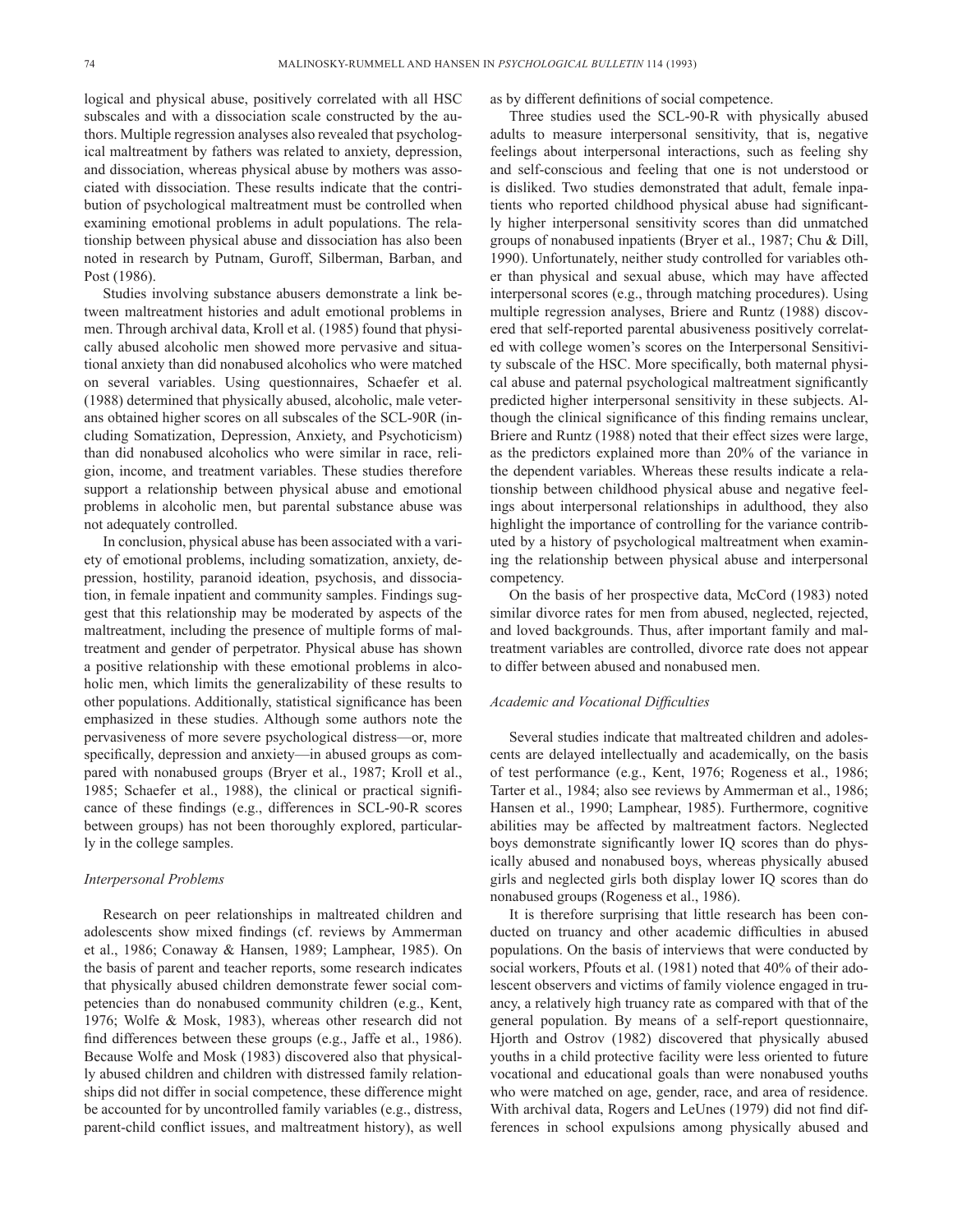logical and physical abuse, positively correlated with all HSC subscales and with a dissociation scale constructed by the authors. Multiple regression analyses also revealed that psychological maltreatment by fathers was related to anxiety, depression, and dissociation, whereas physical abuse by mothers was associated with dissociation. These results indicate that the contribution of psychological maltreatment must be controlled when examining emotional problems in adult populations. The relationship between physical abuse and dissociation has also been noted in research by Putnam, Guroff, Silberman, Barban, and Post (1986).

Studies involving substance abusers demonstrate a link between maltreatment histories and adult emotional problems in men. Through archival data, Kroll et al. (1985) found that physically abused alcoholic men showed more pervasive and situational anxiety than did nonabused alcoholics who were matched on several variables. Using questionnaires, Schaefer et al. (1988) determined that physically abused, alcoholic, male veterans obtained higher scores on all subscales of the SCL-90R (including Somatization, Depression, Anxiety, and Psychoticism) than did nonabused alcoholics who were similar in race, religion, income, and treatment variables. These studies therefore support a relationship between physical abuse and emotional problems in alcoholic men, but parental substance abuse was not adequately controlled.

In conclusion, physical abuse has been associated with a variety of emotional problems, including somatization, anxiety, depression, hostility, paranoid ideation, psychosis, and dissociation, in female inpatient and community samples. Findings suggest that this relationship may be moderated by aspects of the maltreatment, including the presence of multiple forms of maltreatment and gender of perpetrator. Physical abuse has shown a positive relationship with these emotional problems in alcoholic men, which limits the generalizability of these results to other populations. Additionally, statistical significance has been emphasized in these studies. Although some authors note the pervasiveness of more severe psychological distress—or, more specifically, depression and anxiety—in abused groups as compared with nonabused groups (Bryer et al., 1987; Kroll et al., 1985; Schaefer et al., 1988), the clinical or practical significance of these findings (e.g., differences in SCL-90-R scores between groups) has not been thoroughly explored, particularly in the college samples.

## *Interpersonal Problems*

Research on peer relationships in maltreated children and adolescents show mixed findings (cf. reviews by Ammerman et al., 1986; Conaway & Hansen, 1989; Lamphear, 1985). On the basis of parent and teacher reports, some research indicates that physically abused children demonstrate fewer social competencies than do nonabused community children (e.g., Kent, 1976; Wolfe & Mosk, 1983), whereas other research did not find differences between these groups (e.g., Jaffe et al., 1986). Because Wolfe and Mosk (1983) discovered also that physically abused children and children with distressed family relationships did not differ in social competence, these difference might be accounted for by uncontrolled family variables (e.g., distress, parent-child conflict issues, and maltreatment history), as well as by different definitions of social competence.

Three studies used the SCL-90-R with physically abused adults to measure interpersonal sensitivity, that is, negative feelings about interpersonal interactions, such as feeling shy and self-conscious and feeling that one is not understood or is disliked. Two studies demonstrated that adult, female inpatients who reported childhood physical abuse had significantly higher interpersonal sensitivity scores than did unmatched groups of nonabused inpatients (Bryer et al., 1987; Chu & Dill, 1990). Unfortunately, neither study controlled for variables other than physical and sexual abuse, which may have affected interpersonal scores (e.g., through matching procedures). Using multiple regression analyses, Briere and Runtz (1988) discovered that self-reported parental abusiveness positively correlated with college women's scores on the Interpersonal Sensitivity subscale of the HSC. More specifically, both maternal physical abuse and paternal psychological maltreatment significantly predicted higher interpersonal sensitivity in these subjects. Although the clinical significance of this finding remains unclear, Briere and Runtz (1988) noted that their effect sizes were large, as the predictors explained more than 20% of the variance in the dependent variables. Whereas these results indicate a relationship between childhood physical abuse and negative feelings about interpersonal relationships in adulthood, they also highlight the importance of controlling for the variance contributed by a history of psychological maltreatment when examining the relationship between physical abuse and interpersonal competency.

On the basis of her prospective data, McCord (1983) noted similar divorce rates for men from abused, neglected, rejected, and loved backgrounds. Thus, after important family and maltreatment variables are controlled, divorce rate does not appear to differ between abused and nonabused men.

# *Academic and Vocational Diffi culties*

Several studies indicate that maltreated children and adolescents are delayed intellectually and academically, on the basis of test performance (e.g., Kent, 1976; Rogeness et al., 1986; Tarter et al., 1984; also see reviews by Ammerman et al., 1986; Hansen et al., 1990; Lamphear, 1985). Furthermore, cognitive abilities may be affected by maltreatment factors. Neglected boys demonstrate significantly lower IQ scores than do physically abused and nonabused boys, whereas physically abused girls and ne glected girls both display lower IQ scores than do nonabused groups (Rogeness et al., 1986).

It is therefore surprising that little research has been conducted on truancy and other academic difficulties in abused populations. On the basis of interviews that were conducted by social workers, Pfouts et al. (1981) noted that 40% of their adolescent observers and victims of family violence engaged in truancy, a relatively high truancy rate as compared with that of the general population. By means of a self-report questionnaire, Hjorth and Ostrov (1982) discovered that physically abused youths in a child protective facility were less oriented to future vocational and educational goals than were nonabused youths who were matched on age, gender, race, and area of residence. With archival data, Rogers and LeUnes (1979) did not find differences in school expulsions among physically abused and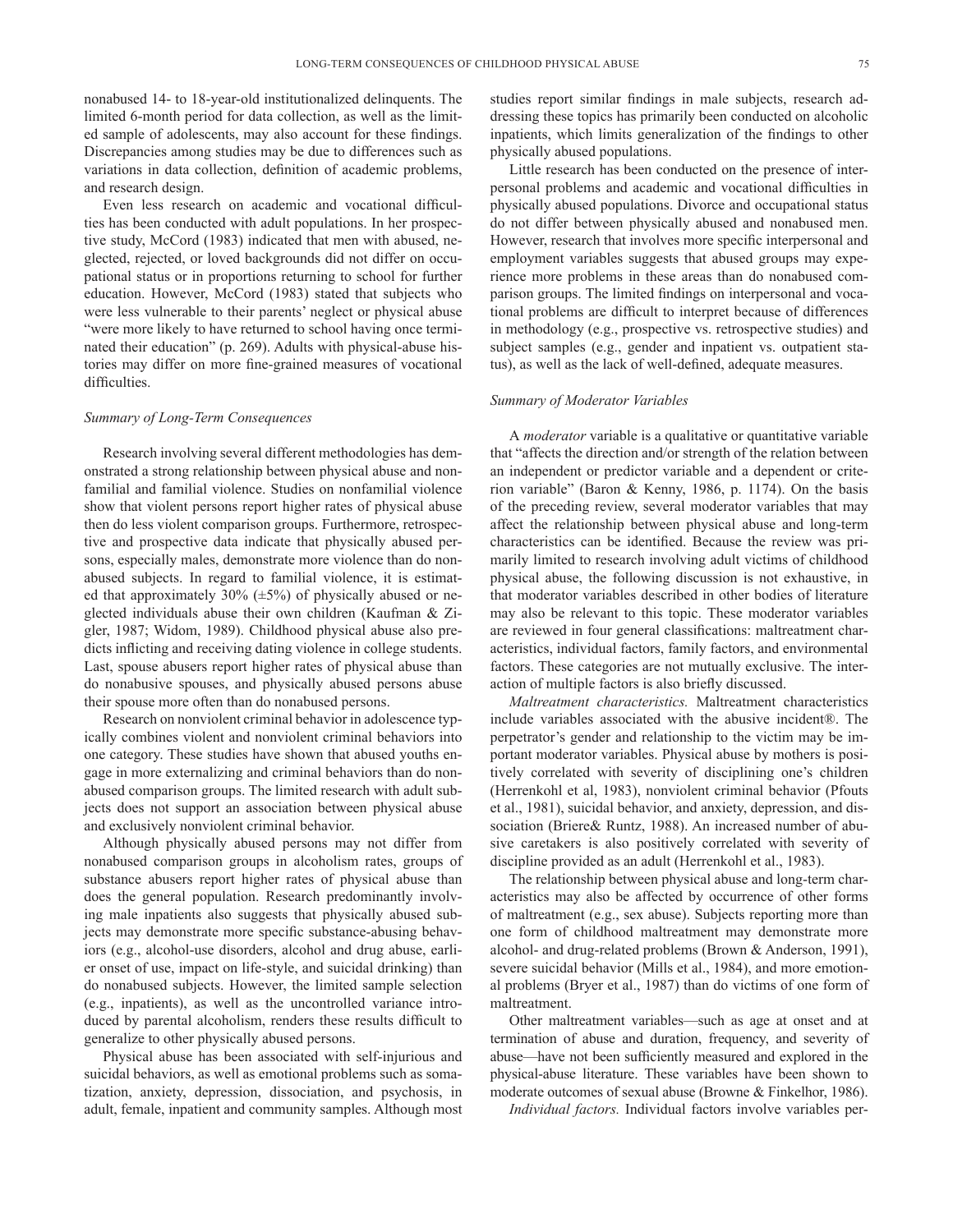nonabused 14- to 18-year-old institutionalized delinquents. The limited 6-month period for data collection, as well as the limited sample of adolescents, may also account for these findings. Discrepancies among studies may be due to differences such as variations in data collection, definition of academic problems, and research design.

Even less research on academic and vocational difficulties has been conducted with adult populations. In her prospective study, McCord (1983) indicated that men with abused, neglected, rejected, or loved backgrounds did not differ on occupational status or in proportions returning to school for further education. However, McCord (1983) stated that subjects who were less vulnerable to their parents' neglect or physical abuse "were more likely to have returned to school having once terminated their education" (p. 269). Adults with physical-abuse histories may differ on more fine-grained measures of vocational difficulties.

#### *Summary of Long-Term Consequences*

Research involving several different methodologies has demonstrated a strong relationship between physical abuse and nonfamilial and familial violence. Studies on nonfamilial violence show that violent persons report higher rates of physical abuse then do less violent comparison groups. Furthermore, retrospective and prospective data indicate that physically abused persons, especially males, demonstrate more violence than do nonabused subjects. In regard to familial violence, it is estimated that approximately  $30\%$  ( $\pm 5\%$ ) of physically abused or neglected individuals abuse their own children (Kaufman & Zigler, 1987; Widom, 1989). Childhood physical abuse also predicts inflicting and receiving dating violence in college students. Last, spouse abusers report higher rates of physical abuse than do nonabusive spouses, and physically abused persons abuse their spouse more often than do nonabused persons.

Research on nonviolent criminal behavior in adolescence typically combines violent and nonviolent criminal behaviors into one category. These studies have shown that abused youths engage in more externalizing and criminal behaviors than do nonabused comparison groups. The limited research with adult subjects does not support an association between physical abuse and exclusively nonviolent criminal behavior.

Although physically abused persons may not differ from nonabused comparison groups in alcoholism rates, groups of substance abusers report higher rates of physical abuse than does the general population. Research predominantly involving male inpatients also suggests that physically abused subjects may demonstrate more specific substance-abusing behaviors (e.g., alcohol-use disorders, alcohol and drug abuse, earlier onset of use, impact on life-style, and suicidal drinking) than do nonabused subjects. However, the limited sample selection (e.g., inpatients), as well as the uncontrolled variance introduced by parental alcoholism, renders these results difficult to generalize to other physically abused persons.

Physical abuse has been associated with self-injurious and suicidal behaviors, as well as emotional problems such as somatization, anxiety, depression, dissociation, and psychosis, in adult, female, inpatient and community samples. Although most studies report similar findings in male subjects, research addressing these topics has primarily been conducted on alcoholic inpatients, which limits generalization of the findings to other physically abused populations.

Little research has been conducted on the presence of interpersonal problems and academic and vocational difficulties in physically abused populations. Divorce and occupational status do not differ between physically abused and nonabused men. However, research that involves more specific interpersonal and employment variables suggests that abused groups may experience more problems in these areas than do nonabused comparison groups. The limited findings on interpersonal and vocational problems are difficult to interpret because of differences in methodology (e.g., prospective vs. retrospective studies) and subject samples (e.g., gender and inpatient vs. outpatient status), as well as the lack of well-defined, adequate measures.

#### *Summary of Moderator Variables*

A *moderator* variable is a qualitative or quantitative variable that "affects the direction and/or strength of the relation between an independent or predictor variable and a dependent or criterion variable" (Baron & Kenny, 1986, p. 1174). On the basis of the preceding review, several moderator variables that may affect the relationship between physical abuse and long-term characteristics can be identified. Because the review was primarily limited to research involving adult victims of childhood physical abuse, the following discussion is not exhaustive, in that moderator variables described in other bodies of literature may also be relevant to this topic. These moderator variables are reviewed in four general classifications: maltreatment characteristics, individual factors, family factors, and environmental factors. These categories are not mutually exclusive. The interaction of multiple factors is also briefly discussed.

*Maltreatment characteristics.* Maltreatment characteristics include variables associated with the abusive incident®. The perpetrator's gender and relationship to the victim may be important moderator variables. Physical abuse by mothers is positively correlated with severity of disciplining one's children (Herrenkohl et al, 1983), nonviolent criminal behavior (Pfouts et al., 1981), suicidal behavior, and anxiety, depression, and dissociation (Briere& Runtz, 1988). An increased number of abusive caretakers is also positively correlated with severity of discipline provided as an adult (Herrenkohl et al., 1983).

The relationship between physical abuse and long-term characteristics may also be affected by occurrence of other forms of maltreatment (e.g., sex abuse). Subjects reporting more than one form of childhood maltreatment may demonstrate more alcohol- and drug-related problems (Brown & Anderson, 1991), severe suicidal behavior (Mills et al., 1984), and more emotional problems (Bryer et al., 1987) than do victims of one form of maltreatment.

Other maltreatment variables—such as age at onset and at termination of abuse and duration, frequency, and severity of abuse—have not been sufficiently measured and explored in the physical-abuse literature. These variables have been shown to moderate outcomes of sexual abuse (Browne & Finkelhor, 1986).

*Individual factors.* Individual factors involve variables per-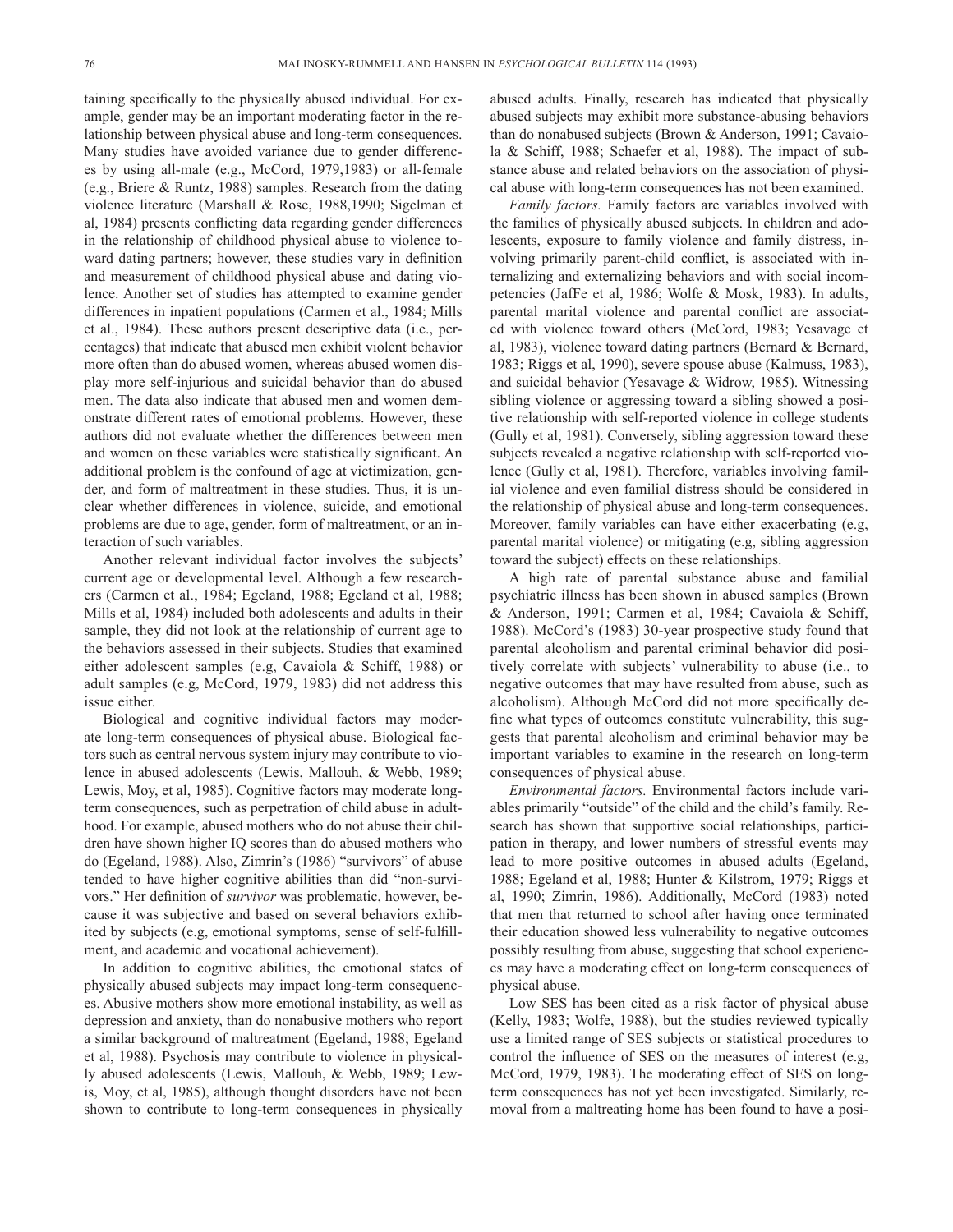taining specifically to the physically abused individual. For example, gender may be an important moderating factor in the relationship between physical abuse and long-term consequences. Many studies have avoided variance due to gender differences by using all-male (e.g., McCord, 1979,1983) or all-female (e.g., Briere & Runtz, 1988) samples. Research from the dating violence literature (Marshall & Rose, 1988,1990; Sigelman et al, 1984) presents conflicting data regarding gender differences in the relationship of childhood physical abuse to violence toward dating partners; however, these studies vary in definition and measurement of childhood physical abuse and dating violence. Another set of studies has attempted to examine gender differences in inpatient populations (Carmen et al., 1984; Mills et al., 1984). These authors present descriptive data (i.e., percentages) that indicate that abused men exhibit violent behavior more often than do abused women, whereas abused women display more self-injurious and suicidal behavior than do abused men. The data also indicate that abused men and women demonstrate different rates of emotional problems. However, these authors did not evaluate whether the differences between men and women on these variables were statistically significant. An additional problem is the confound of age at victimization, gender, and form of maltreatment in these studies. Thus, it is unclear whether differences in violence, suicide, and emotional problems are due to age, gender, form of maltreatment, or an interaction of such variables.

Another relevant individual factor involves the subjects' current age or developmental level. Although a few researchers (Carmen et al., 1984; Egeland, 1988; Egeland et al, 1988; Mills et al, 1984) included both adolescents and adults in their sample, they did not look at the relationship of current age to the behaviors assessed in their subjects. Studies that examined either adolescent samples (e.g, Cavaiola & Schiff, 1988) or adult samples (e.g, McCord, 1979, 1983) did not address this issue either.

Biological and cognitive individual factors may moderate long-term consequences of physical abuse. Biological factors such as central nervous system injury may contribute to violence in abused adolescents (Lewis, Mallouh, & Webb, 1989; Lewis, Moy, et al, 1985). Cognitive factors may moderate longterm consequences, such as perpetration of child abuse in adulthood. For example, abused mothers who do not abuse their children have shown higher IQ scores than do abused mothers who do (Egeland, 1988). Also, Zimrin's (1986) "survivors" of abuse tended to have higher cognitive abilities than did "non-survivors." Her definition of *survivor* was problematic, however, because it was subjective and based on several behaviors exhibited by subjects (e.g, emotional symptoms, sense of self-fulfillment, and academic and vocational achievement).

In addition to cognitive abilities, the emotional states of physically abused subjects may impact long-term consequences. Abusive mothers show more emotional instability, as well as depression and anxiety, than do nonabusive mothers who report a similar background of maltreatment (Egeland, 1988; Egeland et al, 1988). Psychosis may contribute to violence in physically abused adolescents (Lewis, Mallouh, & Webb, 1989; Lewis, Moy, et al, 1985), although thought disorders have not been shown to contribute to long-term consequences in physically abused adults. Finally, research has indicated that physically abused subjects may exhibit more substance-abusing behaviors than do nonabused subjects (Brown & Anderson, 1991; Cavaiola & Schiff, 1988; Schaefer et al, 1988). The impact of substance abuse and related behaviors on the association of physical abuse with long-term consequences has not been examined.

*Family factors.* Family factors are variables involved with the families of physically abused subjects. In children and adolescents, exposure to family violence and family distress, involving primarily parent-child conflict, is associated with internalizing and externalizing behaviors and with social incompetencies (JafFe et al, 1986; Wolfe & Mosk, 1983). In adults, parental marital violence and parental conflict are associated with violence toward others (McCord, 1983; Yesavage et al, 1983), violence toward dating partners (Bernard & Bernard, 1983; Riggs et al, 1990), severe spouse abuse (Kalmuss, 1983), and suicidal behavior (Yesavage & Widrow, 1985). Witnessing sibling violence or aggressing toward a sibling showed a positive relationship with self-reported violence in college students (Gully et al, 1981). Conversely, sibling aggression toward these subjects revealed a negative relationship with self-reported violence (Gully et al, 1981). Therefore, variables involving familial violence and even familial distress should be considered in the relationship of physical abuse and long-term consequences. Moreover, family variables can have either exacerbating (e.g, parental marital violence) or mitigating (e.g, sibling aggression toward the subject) effects on these relationships.

A high rate of parental substance abuse and familial psychiatric illness has been shown in abused samples (Brown & Anderson, 1991; Carmen et al, 1984; Cavaiola & Schiff, 1988). McCord's (1983) 30-year prospective study found that parental alcoholism and parental criminal behavior did positively correlate with subjects' vulnerability to abuse (i.e., to negative outcomes that may have resulted from abuse, such as alcoholism). Although McCord did not more specifically define what types of outcomes constitute vulnerability, this suggests that parental alcoholism and criminal behavior may be important variables to examine in the research on long-term consequences of physical abuse.

*Environmental factors.* Environmental factors include variables primarily "outside" of the child and the child's family. Research has shown that supportive social relationships, participation in therapy, and lower numbers of stressful events may lead to more positive outcomes in abused adults (Egeland, 1988; Egeland et al, 1988; Hunter & Kilstrom, 1979; Riggs et al, 1990; Zimrin, 1986). Additionally, McCord (1983) noted that men that returned to school after having once terminated their education showed less vulnerability to negative outcomes possibly resulting from abuse, suggesting that school experiences may have a moderating effect on long-term consequences of physical abuse.

Low SES has been cited as a risk factor of physical abuse (Kelly, 1983; Wolfe, 1988), but the studies reviewed typically use a limited range of SES subjects or statistical procedures to control the influence of SES on the measures of interest (e.g, McCord, 1979, 1983). The moderating effect of SES on longterm consequences has not yet been investigated. Similarly, removal from a maltreating home has been found to have a posi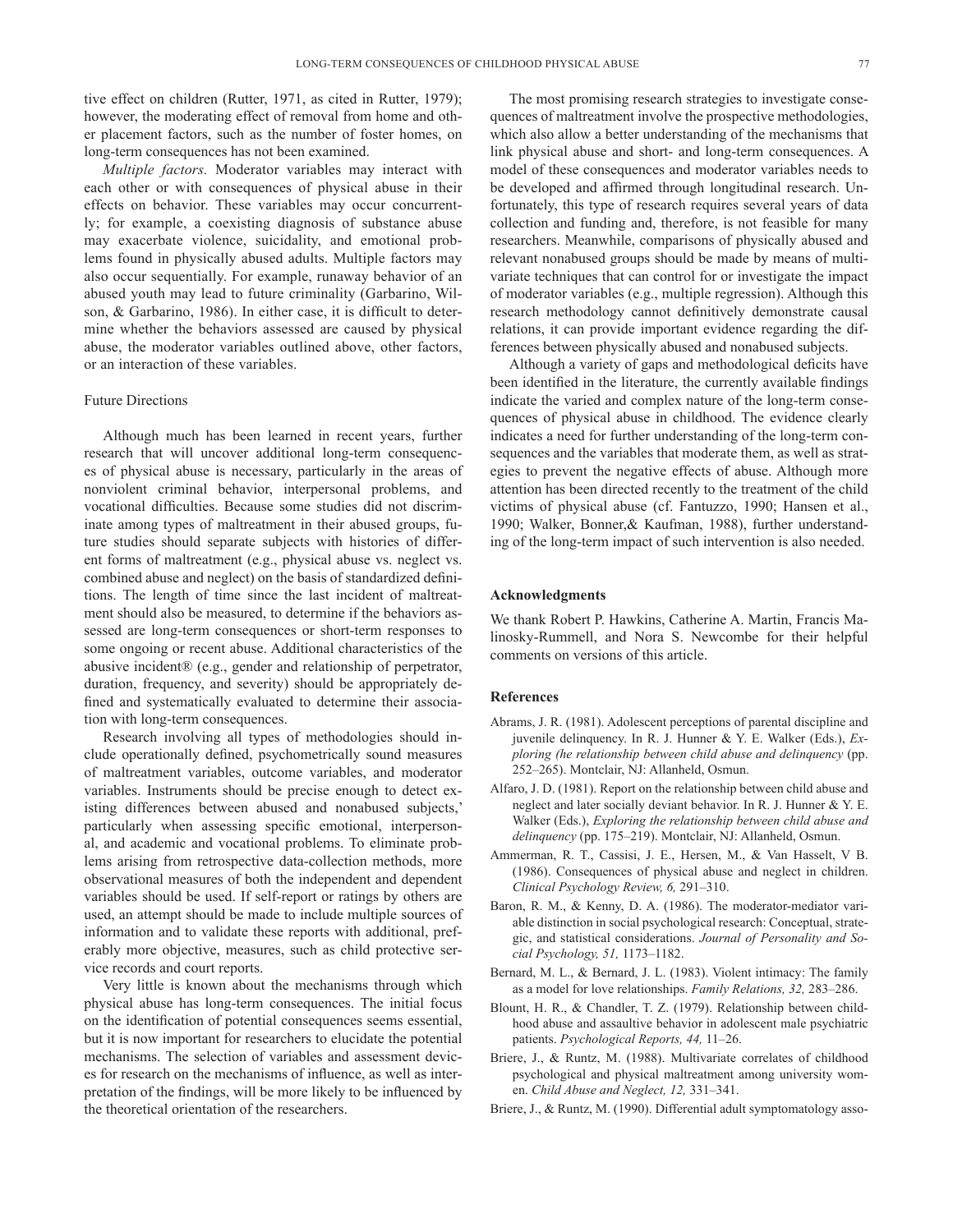tive effect on children (Rutter, 1971, as cited in Rutter, 1979); however, the moderating effect of removal from home and other placement factors, such as the number of foster homes, on long-term consequences has not been examined.

*Multiple factors.* Moderator variables may interact with each other or with consequences of physical abuse in their effects on behavior. These variables may occur concurrently; for example, a coexisting diagnosis of substance abuse may exacerbate violence, suicidality, and emotional problems found in physically abused adults. Multiple factors may also occur sequentially. For example, runaway behavior of an abused youth may lead to future criminality (Garbarino, Wilson,  $\&$  Garbarino, 1986). In either case, it is difficult to determine whether the behaviors assessed are caused by physical abuse, the moderator variables outlined above, other factors, or an interaction of these variables.

# Future Directions

Although much has been learned in recent years, further research that will uncover additional long-term consequences of physical abuse is necessary, particularly in the areas of non violent criminal behavior, interpersonal problems, and vocational difficulties. Because some studies did not discriminate among types of maltreatment in their abused groups, future studies should separate subjects with histories of different forms of maltreatment (e.g., physical abuse vs. neglect vs. combined abuse and neglect) on the basis of standardized definitions. The length of time since the last incident of maltreatment should also be measured, to determine if the behaviors assessed are long-term consequences or short-term responses to some ongoing or recent abuse. Additional characteristics of the abusive incident® (e.g., gender and relationship of perpetrator, duration, frequency, and severity) should be appropriately defined and systematically evaluated to determine their association with long-term consequences.

Research involving all types of methodologies should include operationally defined, psychometrically sound measures of maltreatment variables, outcome variables, and moderator variables. Instruments should be precise enough to detect existing differences between abused and nonabused subjects,' particularly when assessing specific emotional, interpersonal, and academic and vocational problems. To eliminate problems arising from retrospective data-collection methods, more observa tional measures of both the independent and dependent variables should be used. If self-report or ratings by others are used, an attempt should be made to include multiple sources of information and to validate these reports with additional, preferably more objective, measures, such as child protective service records and court reports.

Very little is known about the mechanisms through which physical abuse has long-term consequences. The initial focus on the identification of potential consequences seems essential, but it is now important for researchers to elucidate the potential mechanisms. The selection of variables and assessment devices for research on the mechanisms of influence, as well as interpretation of the findings, will be more likely to be influenced by the theoretical orientation of the researchers.

The most promising research strategies to investigate consequences of maltreatment involve the prospective methodologies, which also allow a better understanding of the mechanisms that link physical abuse and short- and long-term consequences. A model of these consequences and moderator variables needs to be developed and affirmed through longitudinal research. Unfortunately, this type of research requires several years of data collection and funding and, therefore, is not feasible for many researchers. Meanwhile, comparisons of physically abused and relevant nonabused groups should be made by means of multivariate techniques that can control for or investigate the impact of moderator variables (e.g., multiple regression). Although this research methodology cannot definitively demonstrate causal relations, it can provide important evidence regarding the differences between physically abused and nonabused subjects.

Although a variety of gaps and methodological deficits have been identified in the literature, the currently available findings indicate the varied and complex nature of the long-term consequences of physical abuse in childhood. The evidence clearly indicates a need for further understanding of the long-term consequences and the variables that moderate them, as well as strategies to prevent the negative effects of abuse. Although more attention has been directed recently to the treatment of the child victims of physical abuse (cf. Fantuzzo, 1990; Hansen et al., 1990; Walker, Bonner,& Kaufman, 1988), further understanding of the long-term impact of such intervention is also needed.

# **Acknowledgments**

We thank Robert P. Hawkins, Catherine A. Martin, Francis Malinosky-Rummell, and Nora S. Newcombe for their helpful comments on versions of this article.

#### **References**

- Abrams, J. R. (1981). Adolescent perceptions of parental discipline and juvenile delinquency. In R. J. Hunner & Y. E. Walker (Eds.), *Exploring (he relationship between child abuse and delinquency* (pp. 252–265). Montclair, NJ: Allanheld, Osmun.
- Alfaro, J. D. (1981). Report on the relationship between child abuse and neglect and later socially deviant behavior. In R. J. Hunner & Y. E. Walker (Eds.), *Exploring the relationship between child abuse and delinquency* (pp. 175–219). Montclair, NJ: Allanheld, Osmun.
- Ammerman, R. T., Cassisi, J. E., Hersen, M., & Van Hasselt, V B. (1986). Consequences of physical abuse and neglect in children. *Clinical Psychology Review, 6,* 291–310.
- Baron, R. M., & Kenny, D. A. (1986). The moderator-mediator variable distinction in social psychological research: Conceptual, strategic, and statistical considerations. *Journal of Personality and Social Psychology, 51,* 1173–1182.
- Bernard, M. L., & Bernard, J. L. (1983). Violent intimacy: The family as a model for love relationships. *Family Relations, 32,* 283–286.
- Blount, H. R., & Chandler, T. Z. (1979). Relationship between childhood abuse and assaultive behavior in adolescent male psychiatric patients. *Psychological Reports, 44,* 11–26.
- Briere, J., & Runtz, M. (1988). Multivariate correlates of childhood psychological and physical maltreatment among university women. *Child Abuse and Neglect, 12,* 331–341.

Briere, J., & Runtz, M. (1990). Differential adult symptomatology asso-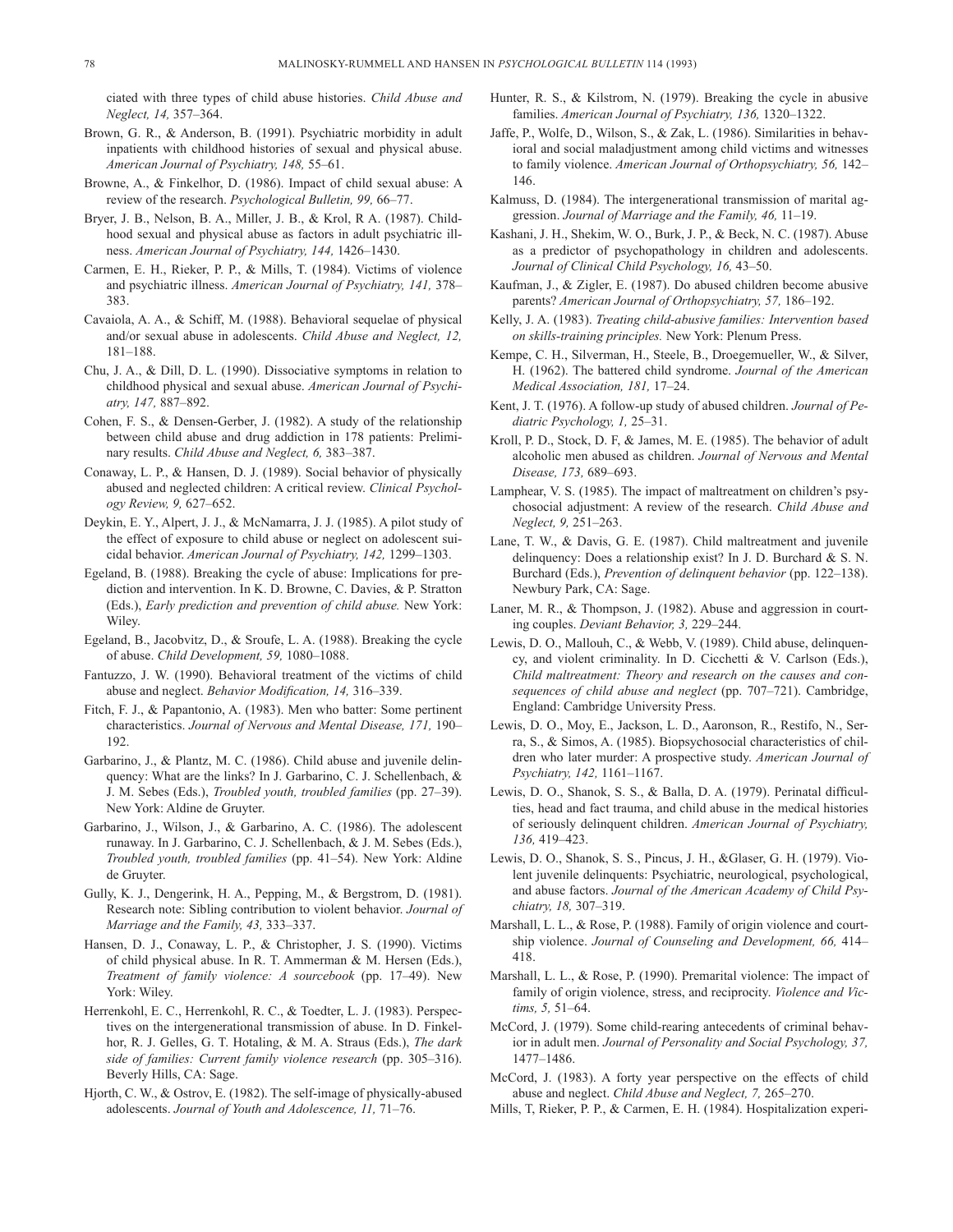ciated with three types of child abuse histories. *Child Abuse and Neglect, 14,* 357–364.

- Brown, G. R., & Anderson, B. (1991). Psychiatric morbidity in adult inpatients with childhood histories of sexual and physical abuse. *American Journal of Psychiatry, 148,* 55–61.
- Browne, A., & Finkelhor, D. (1986). Impact of child sexual abuse: A review of the research. *Psychological Bulletin, 99,* 66–77.
- Bryer, J. B., Nelson, B. A., Miller, J. B., & Krol, R A. (1987). Childhood sexual and physical abuse as factors in adult psychiatric illness. *American Journal of Psychiatry, 144,* 1426–1430.
- Carmen, E. H., Rieker, P. P., & Mills, T. (1984). Victims of violence and psychiatric illness. *American Journal of Psychiatry, 141,* 378– 383.
- Cavaiola, A. A., & Schiff, M. (1988). Behavioral sequelae of physical and/or sexual abuse in adolescents. *Child Abuse and Neglect, 12,*  181–188.
- Chu, J. A., & Dill, D. L. (1990). Dissociative symptoms in relation to childhood physical and sexual abuse. *American Journal of Psychiatry, 147,* 887–892.
- Cohen, F. S., & Densen-Gerber, J. (1982). A study of the relationship between child abuse and drug addiction in 178 patients: Preliminary results. *Child Abuse and Neglect, 6,* 383–387.
- Conaway, L. P., & Hansen, D. J. (1989). Social behavior of physically abused and neglected children: A critical review. *Clinical Psychology Review, 9,* 627–652.
- Deykin, E. Y., Alpert, J. J., & McNamarra, J. J. (1985). A pilot study of the effect of exposure to child abuse or neglect on adolescent suicidal behavior. *American Journal of Psychiatry, 142,* 1299–1303.
- Egeland, B. (1988). Breaking the cycle of abuse: Implications for prediction and intervention. In K. D. Browne, C. Davies, & P. Stratton (Eds.), *Early prediction and prevention of child abuse.* New York: Wiley.
- Egeland, B., Jacobvitz, D., & Sroufe, L. A. (1988). Breaking the cycle of abuse. *Child Development, 59,* 1080–1088.
- Fantuzzo, J. W. (1990). Behavioral treatment of the victims of child abuse and neglect. Behavior Modification, 14, 316-339.
- Fitch, F. J., & Papantonio, A. (1983). Men who batter: Some pertinent characteristics. Journal of Nervous and Mental Disease, 171, 190-192.
- Garbarino, J., & Plantz, M. C. (1986). Child abuse and juvenile delinquency: What are the links? In J. Garbarino, C. J. Schellenbach, & J. M. Sebes (Eds.), *Troubled youth, troubled families* (pp. 27–39). New York: Aldine de Gruyter.
- Garbarino, J., Wilson, J., & Garbarino, A. C. (1986). The adolescent runaway. In J. Garbarino, C. J. Schellenbach, & J. M. Sebes (Eds.), *Troubled youth, troubled families* (pp. 41–54). New York: Aldine de Gruyter.
- Gully, K. J., Dengerink, H. A., Pepping, M., & Bergstrom, D. (1981). Research note: Sibling contribution to violent behavior. *Journal of Marriage and the Family, 43,* 333–337.
- Hansen, D. J., Conaway, L. P., & Christopher, J. S. (1990). Victims of child physical abuse. In R. T. Ammerman & M. Hersen (Eds.), *Treatment of family violence: A sourcebook* (pp. 17-49). New York: Wiley.
- Herrenkohl, E. C., Herrenkohl, R. C., & Toedter, L. J. (1983). Perspectives on the intergenerational transmission of abuse. In D. Finkelhor, R. J. Gelles, G. T. Hotaling, & M. A. Straus (Eds.), *The dark side of families: Current family violence research* (pp. 305–316). Beverly Hills, CA: Sage.
- Hjorth, C. W., & Ostrov, E. (1982). The self-image of physically-abused adolescents. *Journal of Youth and Adolescence, 11,* 71–76.
- Hunter, R. S., & Kilstrom, N. (1979). Breaking the cycle in abusive families. *American Journal of Psychiatry, 136,* 1320–1322.
- Jaffe, P., Wolfe, D., Wilson, S., & Zak, L. (1986). Similarities in behavioral and social maladjustment among child victims and witnesses to family violence. American Journal of Orthopsychiatry, 56, 142-146.
- Kalmuss, D. (1984). The intergenerational transmission of marital aggression. *Journal of Marriage and the Family, 46,* 11–19.
- Kashani, J. H., Shekim, W. O., Burk, J. P., & Beck, N. C. (1987). Abuse as a predictor of psychopathology in children and adolescents. *Journal of Clinical Child Psychology, 16,* 43–50.
- Kaufman, J., & Zigler, E. (1987). Do abused children become abusive parents? *American Journal of Orthopsychiatry, 57,* 186–192.
- Kelly, J. A. (1983). *Treating child-abusive families: Intervention based on skills-training principles.* New York: Plenum Press.
- Kempe, C. H., Silverman, H., Steele, B., Droegemueller, W., & Silver, H. (1962). The battered child syndrome. *Journal of the American Medi cal Association, 181,* 17–24.
- Kent, J. T. (1976). A follow-up study of abused children. *Journal of Pediatric Psychology, 1,* 25–31.
- Kroll, P. D., Stock, D. F, & James, M. E. (1985). The behavior of adult alcoholic men abused as children. *Journal of Nervous and Mental Disease, 173,* 689–693.
- Lamphear, V. S. (1985). The impact of maltreatment on children's psychosocial adjustment: A review of the research. *Child Abuse and Neglect, 9,* 251–263.
- Lane, T. W., & Davis, G. E. (1987). Child maltreatment and juvenile delinquency: Does a relationship exist? In J. D. Burchard & S. N. Burchard (Eds.), *Prevention of delinquent behavior* (pp. 122–138). Newbury Park, CA: Sage.
- Laner, M. R., & Thompson, J. (1982). Abuse and aggression in courting couples. *Deviant Behavior, 3,* 229–244.
- Lewis, D. O., Mallouh, C., & Webb, V. (1989). Child abuse, delinquency, and violent criminality. In D. Cicchetti & V. Carlson (Eds.), *Child maltreatment: Theory and research on the causes and consequences of child abuse and neglect* (pp. 707–721). Cambridge, England: Cambridge University Press.
- Lewis, D. O., Moy, E., Jackson, L. D., Aaronson, R., Restifo, N., Serra, S., & Simos, A. (1985). Biopsychosocial characteristics of children who later murder: A prospective study. *American Journal of Psychia try, 142,* 1161–1167.
- Lewis, D. O., Shanok, S. S., & Balla, D. A. (1979). Perinatal difficulties, head and fact trauma, and child abuse in the medical histories of seriously delinquent children. *American Journal of Psychiatry, 136,* 419–423.
- Lewis, D. O., Shanok, S. S., Pincus, J. H., &Glaser, G. H. (1979). Violent juvenile delinquents: Psychiatric, neurological, psychological, and abuse factors. *Journal of the American Academy of Child Psychiatry, 18,* 307–319.
- Marshall, L. L., & Rose, P. (1988). Family of origin violence and courtship violence. *Journal of Counseling and Development, 66,* 414– 418.
- Marshall, L. L., & Rose, P. (1990). Premarital violence: The impact of family of origin violence, stress, and reciprocity. *Violence and Victims, 5,* 51–64.
- McCord, J. (1979). Some child-rearing antecedents of criminal behavior in adult men. *Journal of Personality and Social Psychology, 37,*  1477–1486.
- McCord, J. (1983). A forty year perspective on the effects of child abuse and neglect. *Child Abuse and Neglect, 7,* 265–270.
- Mills, T, Rieker, P. P., & Carmen, E. H. (1984). Hospitalization experi-